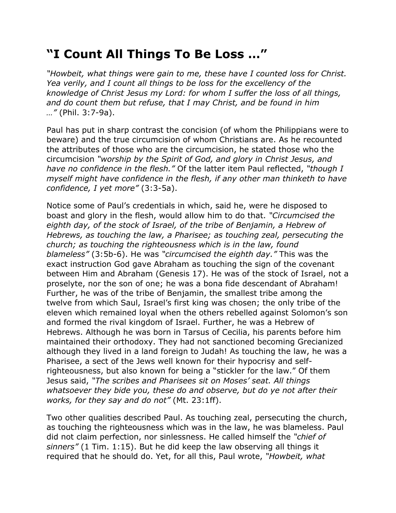## **"I Count All Things To Be Loss …"**

*"Howbeit, what things were gain to me, these have I counted loss for Christ. Yea verily, and I count all things to be loss for the excellency of the knowledge of Christ Jesus my Lord: for whom I suffer the loss of all things, and do count them but refuse, that I may Christ, and be found in him …"* (Phil. 3:7-9a).

Paul has put in sharp contrast the concision (of whom the Philippians were to beware) and the true circumcision of whom Christians are. As he recounted the attributes of those who are the circumcision, he stated those who the circumcision *"worship by the Spirit of God, and glory in Christ Jesus, and have no confidence in the flesh."* Of the latter item Paul reflected, *"though I myself might have confidence in the flesh, if any other man thinketh to have confidence, I yet more"* (3:3-5a).

Notice some of Paul's credentials in which, said he, were he disposed to boast and glory in the flesh, would allow him to do that. *"Circumcised the eighth day, of the stock of Israel, of the tribe of Benjamin, a Hebrew of Hebrews, as touching the law, a Pharisee; as touching zeal, persecuting the church; as touching the righteousness which is in the law, found blameless"* (3:5b-6). He was *"circumcised the eighth day."* This was the exact instruction God gave Abraham as touching the sign of the covenant between Him and Abraham (Genesis 17). He was of the stock of Israel, not a proselyte, nor the son of one; he was a bona fide descendant of Abraham! Further, he was of the tribe of Benjamin, the smallest tribe among the twelve from which Saul, Israel's first king was chosen; the only tribe of the eleven which remained loyal when the others rebelled against Solomon's son and formed the rival kingdom of Israel. Further, he was a Hebrew of Hebrews. Although he was born in Tarsus of Cecilia, his parents before him maintained their orthodoxy. They had not sanctioned becoming Grecianized although they lived in a land foreign to Judah! As touching the law, he was a Pharisee, a sect of the Jews well known for their hypocrisy and selfrighteousness, but also known for being a "stickler for the law." Of them Jesus said, *"The scribes and Pharisees sit on Moses' seat. All things whatsoever they bide you, these do and observe, but do ye not after their works, for they say and do not"* (Mt. 23:1ff).

Two other qualities described Paul. As touching zeal, persecuting the church, as touching the righteousness which was in the law, he was blameless. Paul did not claim perfection, nor sinlessness. He called himself the *"chief of sinners"* (1 Tim. 1:15). But he did keep the law observing all things it required that he should do. Yet, for all this, Paul wrote, *"Howbeit, what*